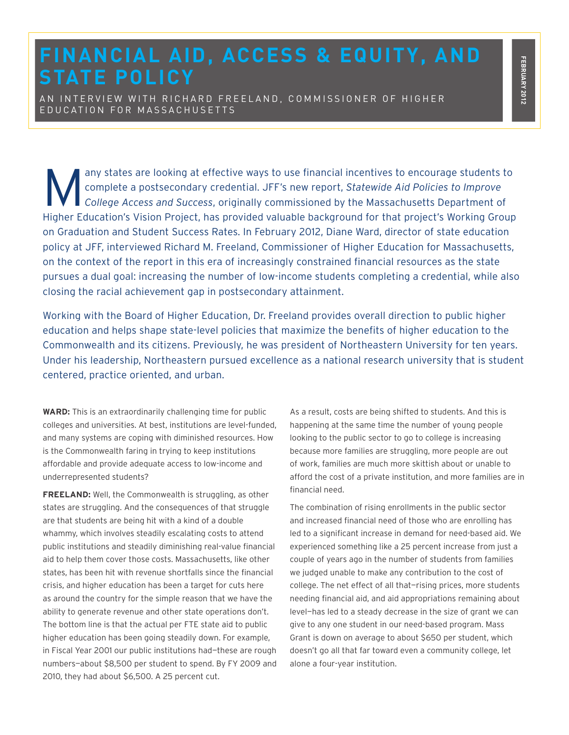## **FINANCIAL AID, ACCESS & EQUITY, AND STATE POLICY**

AN INTERVIEW WITH RICHARD FREELAND, COMMISSIONER OF HIGHER E D U C A T I O N F O R M A S S A C H U S E T T S

A any states are looking at effective ways to use financial incentives to encourage students to complete a postsecondary credential. JFF's new report, Statewide Aid Policies to Improve College Access and Success, originall complete a postsecondary credential. JFF's new report, *Statewide Aid Policies to Improve*  Higher Education's Vision Project, has provided valuable background for that project's Working Group on Graduation and Student Success Rates. In February 2012, Diane Ward, director of state education policy at JFF, interviewed Richard M. Freeland, Commissioner of Higher Education for Massachusetts, on the context of the report in this era of increasingly constrained financial resources as the state pursues a dual goal: increasing the number of low-income students completing a credential, while also closing the racial achievement gap in postsecondary attainment.

Working with the Board of Higher Education, Dr. Freeland provides overall direction to public higher education and helps shape state-level policies that maximize the benefits of higher education to the Commonwealth and its citizens. Previously, he was president of Northeastern University for ten years. Under his leadership, Northeastern pursued excellence as a national research university that is student centered, practice oriented, and urban.

**WARD:** This is an extraordinarily challenging time for public colleges and universities. At best, institutions are level-funded, and many systems are coping with diminished resources. How is the Commonwealth faring in trying to keep institutions affordable and provide adequate access to low-income and underrepresented students?

**FREELAND:** Well, the Commonwealth is struggling, as other states are struggling. And the consequences of that struggle are that students are being hit with a kind of a double whammy, which involves steadily escalating costs to attend public institutions and steadily diminishing real-value financial aid to help them cover those costs. Massachusetts, like other states, has been hit with revenue shortfalls since the financial crisis, and higher education has been a target for cuts here as around the country for the simple reason that we have the ability to generate revenue and other state operations don't. The bottom line is that the actual per FTE state aid to public higher education has been going steadily down. For example, in Fiscal Year 2001 our public institutions had-these are rough numbers—about \$8,500 per student to spend. By FY 2009 and 2010, they had about \$6,500. A 25 percent cut.

As a result, costs are being shifted to students. And this is happening at the same time the number of young people looking to the public sector to go to college is increasing because more families are struggling, more people are out of work, families are much more skittish about or unable to afford the cost of a private institution, and more families are in financial need.

The combination of rising enrollments in the public sector and increased financial need of those who are enrolling has led to a significant increase in demand for need-based aid. We experienced something like a 25 percent increase from just a couple of years ago in the number of students from families we judged unable to make any contribution to the cost of college. The net effect of all that—rising prices, more students needing financial aid, and aid appropriations remaining about level—has led to a steady decrease in the size of grant we can give to any one student in our need-based program. Mass Grant is down on average to about \$650 per student, which doesn't go all that far toward even a community college, let alone a four-year institution.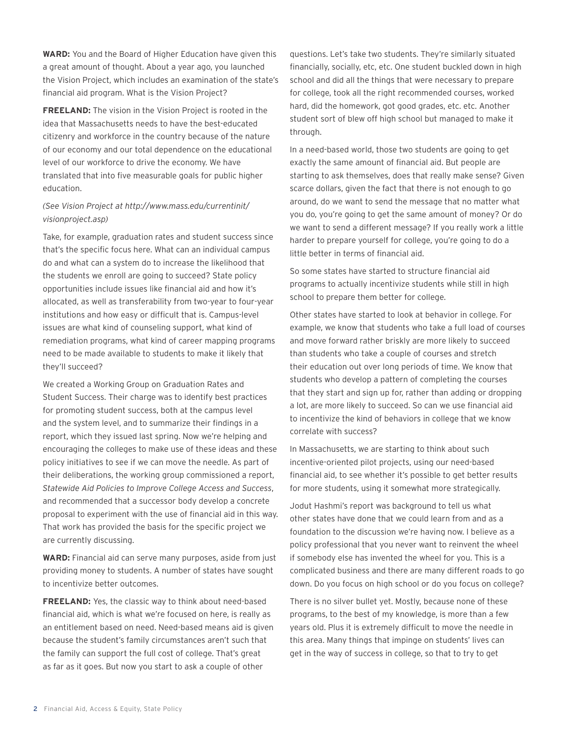**WARD:** You and the Board of Higher Education have given this a great amount of thought. About a year ago, you launched the Vision Project, which includes an examination of the state's financial aid program. What is the Vision Project?

**FREELAND:** The vision in the Vision Project is rooted in the idea that Massachusetts needs to have the best-educated citizenry and workforce in the country because of the nature of our economy and our total dependence on the educational level of our workforce to drive the economy. We have translated that into five measurable goals for public higher education.

## *(See Vision Project at http://www.mass.edu/currentinit/ visionproject.asp)*

Take, for example, graduation rates and student success since that's the specific focus here. What can an individual campus do and what can a system do to increase the likelihood that the students we enroll are going to succeed? State policy opportunities include issues like financial aid and how it's allocated, as well as transferability from two-year to four-year institutions and how easy or difficult that is. Campus-level issues are what kind of counseling support, what kind of remediation programs, what kind of career mapping programs need to be made available to students to make it likely that they'll succeed?

We created a Working Group on Graduation Rates and Student Success. Their charge was to identify best practices for promoting student success, both at the campus level and the system level, and to summarize their findings in a report, which they issued last spring. Now we're helping and encouraging the colleges to make use of these ideas and these policy initiatives to see if we can move the needle. As part of their deliberations, the working group commissioned a report, *Statewide Aid Policies to Improve College Access and Success*, and recommended that a successor body develop a concrete proposal to experiment with the use of financial aid in this way. That work has provided the basis for the specific project we are currently discussing.

**WARD:** Financial aid can serve many purposes, aside from just providing money to students. A number of states have sought to incentivize better outcomes.

**FREELAND:** Yes, the classic way to think about need-based financial aid, which is what we're focused on here, is really as an entitlement based on need. Need-based means aid is given because the student's family circumstances aren't such that the family can support the full cost of college. That's great as far as it goes. But now you start to ask a couple of other

questions. Let's take two students. They're similarly situated financially, socially, etc, etc. One student buckled down in high school and did all the things that were necessary to prepare for college, took all the right recommended courses, worked hard, did the homework, got good grades, etc. etc. Another student sort of blew off high school but managed to make it through.

In a need-based world, those two students are going to get exactly the same amount of financial aid. But people are starting to ask themselves, does that really make sense? Given scarce dollars, given the fact that there is not enough to go around, do we want to send the message that no matter what you do, you're going to get the same amount of money? Or do we want to send a different message? If you really work a little harder to prepare yourself for college, you're going to do a little better in terms of financial aid.

So some states have started to structure financial aid programs to actually incentivize students while still in high school to prepare them better for college.

Other states have started to look at behavior in college. For example, we know that students who take a full load of courses and move forward rather briskly are more likely to succeed than students who take a couple of courses and stretch their education out over long periods of time. We know that students who develop a pattern of completing the courses that they start and sign up for, rather than adding or dropping a lot, are more likely to succeed. So can we use financial aid to incentivize the kind of behaviors in college that we know correlate with success?

In Massachusetts, we are starting to think about such incentive-oriented pilot projects, using our need-based financial aid, to see whether it's possible to get better results for more students, using it somewhat more strategically.

Jodut Hashmi's report was background to tell us what other states have done that we could learn from and as a foundation to the discussion we're having now. I believe as a policy professional that you never want to reinvent the wheel if somebody else has invented the wheel for you. This is a complicated business and there are many different roads to go down. Do you focus on high school or do you focus on college?

There is no silver bullet yet. Mostly, because none of these programs, to the best of my knowledge, is more than a few years old. Plus it is extremely difficult to move the needle in this area. Many things that impinge on students' lives can get in the way of success in college, so that to try to get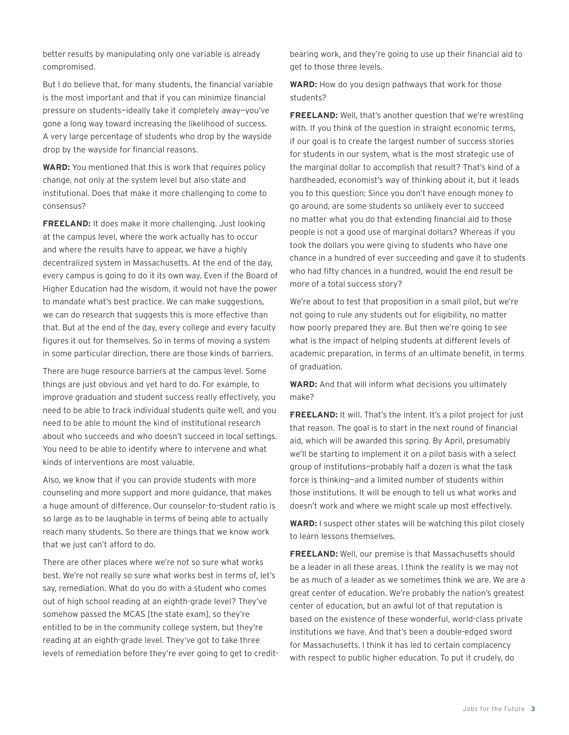better results by manipulating only one variable is already compromised.

But I do believe that, for many students, the financial variable is the most important and that if you can minimize financial pressure on students—ideally take it completely away—you've gone a long way toward increasing the likelihood of success. A very large percentage of students who drop by the wayside drop by the wayside for financial reasons.

**WARD:** You mentioned that this is work that requires policy change, not only at the system level but also state and institutional. Does that make it more challenging to come to consensus?

**FREELAND:** It does make it more challenging. Just looking at the campus level, where the work actually has to occur and where the results have to appear, we have a highly decentralized system in Massachusetts. At the end of the day, every campus is going to do it its own way. Even if the Board of Higher Education had the wisdom, it would not have the power to mandate what's best practice. We can make suggestions, we can do research that suggests this is more effective than that. But at the end of the day, every college and every faculty figures it out for themselves. So in terms of moving a system in some particular direction, there are those kinds of barriers.

There are huge resource barriers at the campus level. Some things are just obvious and yet hard to do. For example, to improve graduation and student success really effectively, you need to be able to track individual students quite well, and you need to be able to mount the kind of institutional research about who succeeds and who doesn't succeed in local settings. You need to be able to identify where to intervene and what kinds of interventions are most valuable.

Also, we know that if you can provide students with more counseling and more support and more guidance, that makes a huge amount of difference. Our counselor-to-student ratio is so large as to be laughable in terms of being able to actually reach many students. So there are things that we know work that we just can't afford to do.

There are other places where we're not so sure what works best. We're not really so sure what works best in terms of, let's say, remediation. What do you do with a student who comes out of high school reading at an eighth-grade level? They've somehow passed the MCAS [the state exam], so they're entitled to be in the community college system, but they're reading at an eighth-grade level. They've got to take three levels of remediation before they're ever going to get to creditbearing work, and they're going to use up their financial aid to get to those three levels.

**WARD:** How do you design pathways that work for those students?

**FREELAND:** Well, that's another question that we're wrestling with. If you think of the question in straight economic terms, if our goal is to create the largest number of success stories for students in our system, what is the most strategic use of the marginal dollar to accomplish that result? That's kind of a hardheaded, economist's way of thinking about it, but it leads you to this question: Since you don't have enough money to go around, are some students so unlikely ever to succeed no matter what you do that extending financial aid to those people is not a good use of marginal dollars? Whereas if you took the dollars you were giving to students who have one chance in a hundred of ever succeeding and gave it to students who had fifty chances in a hundred, would the end result be more of a total success story?

We're about to test that proposition in a small pilot, but we're not going to rule any students out for eligibility, no matter how poorly prepared they are. But then we're going to see what is the impact of helping students at different levels of academic preparation, in terms of an ultimate benefit, in terms of graduation.

**WARD:** And that will inform what decisions you ultimately make?

**FREELAND:** It will. That's the intent. It's a pilot project for just that reason. The goal is to start in the next round of financial aid, which will be awarded this spring. By April, presumably we'll be starting to implement it on a pilot basis with a select group of institutions—probably half a dozen is what the task force is thinking—and a limited number of students within those institutions. It will be enough to tell us what works and doesn't work and where we might scale up most effectively.

**WARD:** I suspect other states will be watching this pilot closely to learn lessons themselves.

**FREELAND:** Well, our premise is that Massachusetts should be a leader in all these areas. I think the reality is we may not be as much of a leader as we sometimes think we are. We are a great center of education. We're probably the nation's greatest center of education, but an awful lot of that reputation is based on the existence of these wonderful, world-class private institutions we have. And that's been a double-edged sword for Massachusetts. I think it has led to certain complacency with respect to public higher education. To put it crudely, do